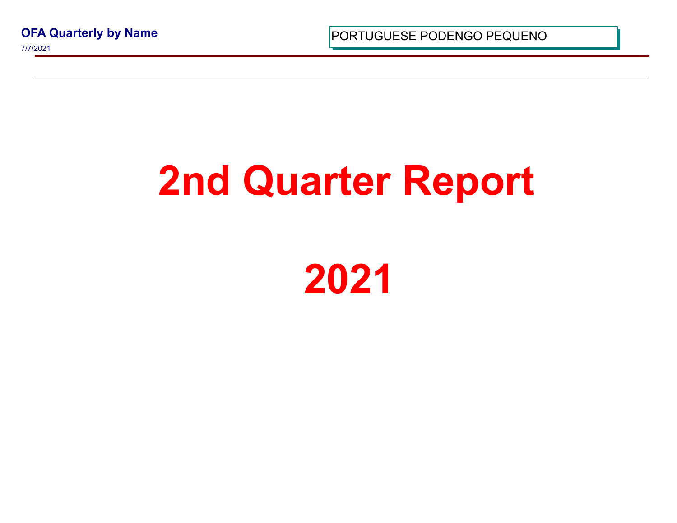**OFA Quarterly by Name** 7/7/2021

PORTUGUESE PODENGO PEQUI

## **2nd Quarter Report**

**2021**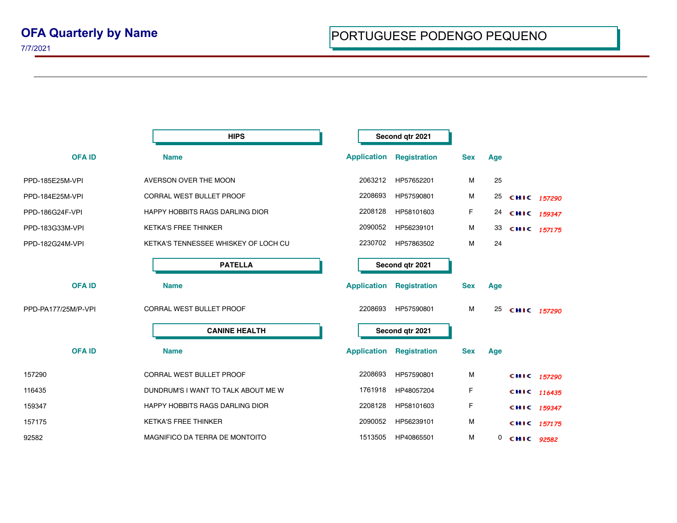|                     | <b>HIPS</b>                          |                    | Second qtr 2021     |            |     |             |  |
|---------------------|--------------------------------------|--------------------|---------------------|------------|-----|-------------|--|
| <b>OFA ID</b>       | <b>Name</b>                          | <b>Application</b> | <b>Registration</b> | <b>Sex</b> | Age |             |  |
| PPD-185E25M-VPI     | AVERSON OVER THE MOON                | 2063212            | HP57652201          | M          | 25  |             |  |
| PPD-184E25M-VPI     | <b>CORRAL WEST BULLET PROOF</b>      | 2208693            | HP57590801          | М          | 25  | CHIC 157290 |  |
| PPD-186G24F-VPI     | HAPPY HOBBITS RAGS DARLING DIOR      | 2208128            | HP58101603          | F          | 24  | CHIC 159347 |  |
| PPD-183G33M-VPI     | <b>KETKA'S FREE THINKER</b>          | 2090052            | HP56239101          | M          | 33  | CHIC 157175 |  |
| PPD-182G24M-VPI     | KETKA'S TENNESSEE WHISKEY OF LOCH CU | 2230702            | HP57863502          | M          | 24  |             |  |
|                     | <b>PATELLA</b>                       |                    | Second qtr 2021     |            |     |             |  |
| <b>OFA ID</b>       | <b>Name</b>                          | <b>Application</b> | <b>Registration</b> | <b>Sex</b> | Age |             |  |
| PPD-PA177/25M/P-VPI | <b>CORRAL WEST BULLET PROOF</b>      | 2208693            | HP57590801          | M          | 25  | CHIC 157290 |  |
|                     | <b>CANINE HEALTH</b>                 |                    | Second qtr 2021     |            |     |             |  |
| <b>OFAID</b>        | <b>Name</b>                          | <b>Application</b> | <b>Registration</b> | <b>Sex</b> | Age |             |  |
| 157290              | <b>CORRAL WEST BULLET PROOF</b>      | 2208693            | HP57590801          | М          |     | CHIC 157290 |  |
| 116435              | DUNDRUM'S I WANT TO TALK ABOUT ME W  | 1761918            | HP48057204          | F          |     | CHIC 116435 |  |
| 159347              | HAPPY HOBBITS RAGS DARLING DIOR      | 2208128            | HP58101603          | F          |     | CHIC 159347 |  |
| 157175              | <b>KETKA'S FREE THINKER</b>          | 2090052            | HP56239101          | M          |     | CHIC 157175 |  |
| 92582               | MAGNIFICO DA TERRA DE MONTOITO       | 1513505            | HP40865501          | M          | 0   | CHIC 92582  |  |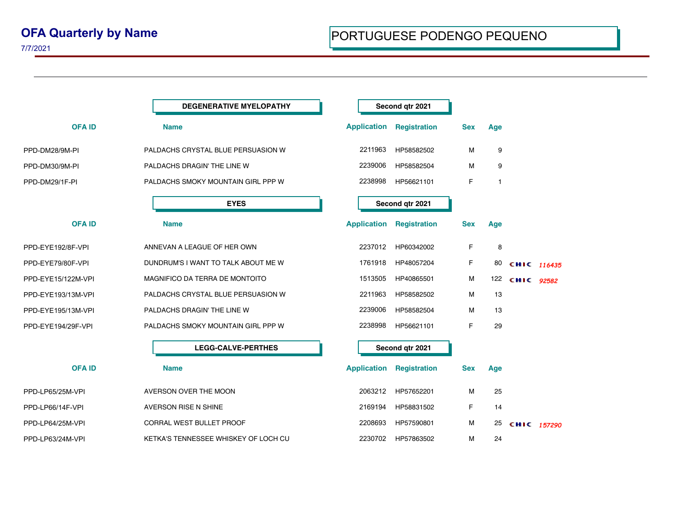7/7/2021

|                    | <b>DEGENERATIVE MYELOPATHY</b>       |                    | Second qtr 2021     |            |              |             |  |
|--------------------|--------------------------------------|--------------------|---------------------|------------|--------------|-------------|--|
| <b>OFAID</b>       | <b>Name</b>                          | <b>Application</b> | <b>Registration</b> | <b>Sex</b> | Age          |             |  |
| PPD-DM28/9M-PI     | PALDACHS CRYSTAL BLUE PERSUASION W   | 2211963            | HP58582502          | M          | 9            |             |  |
| PPD-DM30/9M-PI     | PALDACHS DRAGIN' THE LINE W          | 2239006            | HP58582504          | M          | 9            |             |  |
| PPD-DM29/1F-PI     | PALDACHS SMOKY MOUNTAIN GIRL PPP W   | 2238998            | HP56621101          | F          | $\mathbf{1}$ |             |  |
|                    | <b>EYES</b>                          |                    | Second qtr 2021     |            |              |             |  |
| <b>OFAID</b>       | <b>Name</b>                          | <b>Application</b> | <b>Registration</b> | <b>Sex</b> | Age          |             |  |
| PPD-EYE192/8F-VPI  | ANNEVAN A LEAGUE OF HER OWN          | 2237012            | HP60342002          | F          | 8            |             |  |
| PPD-EYE79/80F-VPI  | DUNDRUM'S I WANT TO TALK ABOUT ME W  | 1761918            | HP48057204          | F          | 80           | CHIC 116435 |  |
| PPD-EYE15/122M-VPI | MAGNIFICO DA TERRA DE MONTOITO       | 1513505            | HP40865501          | M          | 122          | CHIC 92582  |  |
| PPD-EYE193/13M-VPI | PALDACHS CRYSTAL BLUE PERSUASION W   | 2211963            | HP58582502          | М          | 13           |             |  |
| PPD-EYE195/13M-VPI | PALDACHS DRAGIN' THE LINE W          | 2239006            | HP58582504          | M          | 13           |             |  |
| PPD-EYE194/29F-VPI | PALDACHS SMOKY MOUNTAIN GIRL PPP W   | 2238998            | HP56621101          | F          | 29           |             |  |
|                    | <b>LEGG-CALVE-PERTHES</b>            |                    | Second qtr 2021     |            |              |             |  |
| <b>OFAID</b>       | <b>Name</b>                          | <b>Application</b> | <b>Registration</b> | <b>Sex</b> | Age          |             |  |
| PPD-LP65/25M-VPI   | AVERSON OVER THE MOON                | 2063212            | HP57652201          | M          | 25           |             |  |
| PPD-LP66/14F-VPI   | <b>AVERSON RISE N SHINE</b>          | 2169194            | HP58831502          | F          | 14           |             |  |
| PPD-LP64/25M-VPI   | CORRAL WEST BULLET PROOF             | 2208693            | HP57590801          | M          | 25           | CHIC 157290 |  |
| PPD-LP63/24M-VPI   | KETKA'S TENNESSEE WHISKEY OF LOCH CU | 2230702            | HP57863502          | M          | 24           |             |  |